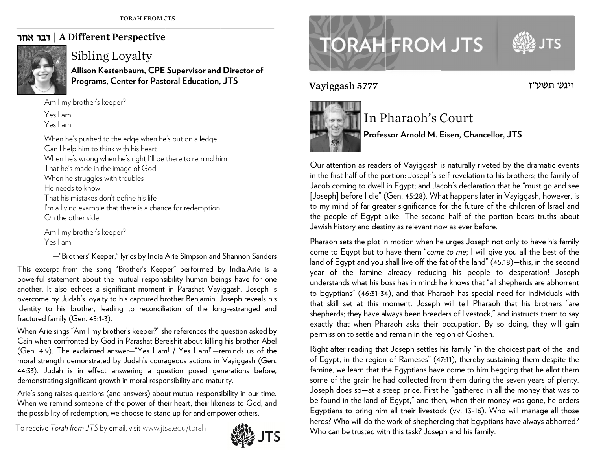## | דבר אחר A Different Perspective



## Sibling Loyalty

**Allison Kes stenbaum, CPE Supervisor an d d Director of Programs, Center for Past toral Education, , JTS** 

A m m I my brother's kee eper? Yes I am! Yes I am!

When he's pushed to the edge when he's out on a ledge  $\mathsf C$ an I help him to think with his heart When he's wrong when he's right I'll be there to remind him That he's made in the image of God When he struggles with troubles He needs to know That his mistakes don't define his life I'm a living example that there is a chance for redemption  $\,$ On the other side

A m m I my brother's kee eper? Yes I am!

—"Brothers' Keeper," lyrics by India Arie Simpson and Shannon Sanders This excerpt from the song "Brother's Keeper" performed by India.Arie is a powerful statement about the mutual responsibility human beings have for one another. It also echoes a significant moment in Parashat Vayiggash. Joseph is overcome by Judah's loyalty to his captured brother Benjamin. Joseph reveals his identity to his brother, leading to reconciliation of the long-estranged and fractured family (Gen. 45:1-3). 's aesslaters

When Arie sings "Am I my brother's keeper?" she references the question asked by Cain when confronted by God in Parashat Bereishit about killing his brother Abel (Gen. 4:9). The exclaimed answer—"Yes I am! / Yes I am!"—reminds us of the moral strength demonstrated by Judah's courageous actions in Vayiggash (Gen. 44:33). Judah is in effect answering a question posed generations before, demonstrating significant growth in moral responsibility and maturity.

Arie's song raises questions (and answers) about mutual responsibility in our time. When we remind someone of the power of their heart, their likeness to God, and the possibility of redemption, we choose to stand up for and empower others.

To receive *T Torah from JTS* by e email, visitwww.jts sa.edu/torah



## **TORAH FROM JTS**

Vayi g



## In P Pharaoh's C Court

**Profes ssor Arnold M. E Eisen, Chancell o or, JTS** 

Our attention as readers of Vayiggash is naturally riveted by the dramatic events in the first half of the portion: Joseph's self-revelation to his brothers; the family of Jacob coming to dwell in Egypt; and Jacob's declaration that he "must go and see [Jose p <sup>p</sup>h] before I die" ( (Gen. 45:28). Wh hat happens later in Vayiggash, ho wever, is to my mind of far greater significance for the future of the children of Israel and the people of Egypt alike. The second half of the portion bears truths about Jewish history and destiny as relevant now as ever before.

Pharaoh sets the plot in motion when he urges Joseph not only to have his family come to Egypt but to have them "*come to me*; I will give you all the best of the land of Egypt and you shall live off the fat of the land" (45:18)—this, in the second year of the famine already reducing his people to desperation! Joseph understands what his boss has in mind: he knows that "all shepherds are abhorrent to Egyptians" (46:31-34), and that Pharaoh has special need for individuals with that skill set at this moment. Joseph will tell Pharaoh that his brothers "are shepherds; they have always been breeders of livestock," and instructs them to say exactly that when Pharaoh asks their occupation. By so doing, they will gain permission to settle and remain in the region of Goshen. Vayiggash 5777<br>
In<br>
In<br>
Our attention as read<br>
in the first half of the<br>
Jacob coming to dwe<br>
[Joseph] before I die<br>
to my mind of far gr.<br>
the people of Egypt<br>
Jewish history and de<br>
Pharaoh sets the plot<br>
come to Egypt b

Right after reading that Joseph settles his family "in the choicest part of the land of Egypt, in the region of Rameses" (47:11), thereby sustaining them despite the famine, we learn that the Egyptians have come to him begging that he allot them some of the grain he had collected from them during the seven years of plenty. Joseph does so—at a steep price. First he "gathered in all the money that was to be found in the land of Egypt," and then, when their money was gone, he orders Egyptians to bring him all their livestock (vv. 13-16). Who will manage all those herds? Who will do the work of shepherding that Egyptians have always abhorred? Who can be trusted with this task? Joseph and his family.

ויגש תשע״ז